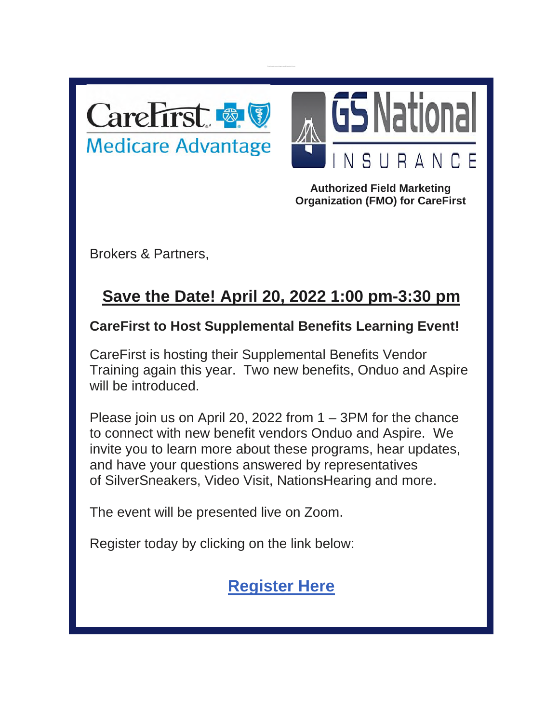



**Authorized Field Marketing Organization (FMO) for CareFirst**

Brokers & Partners,

## **Save the Date! April 20, 2022 1:00 pm-3:30 pm**

## **CareFirst to Host Supplemental Benefits Learning Event!**

CareFirst is hosting their Supplemental Benefits Vendor Training again this year. Two new benefits, Onduo and Aspire will be introduced.

Please join us on April 20, 2022 from 1 – 3PM for the chance to connect with new benefit vendors Onduo and Aspire. We invite you to learn more about these programs, hear updates, and have your questions answered by representatives of SilverSneakers, Video Visit, NationsHearing and more.

The event will be presented live on Zoom.

Register today by clicking on the link below:

## **[Register Here](https://carefirst.zoom.us/webinar/register/WN_OQSGQZ2LTy-StTig0x4xhw)**